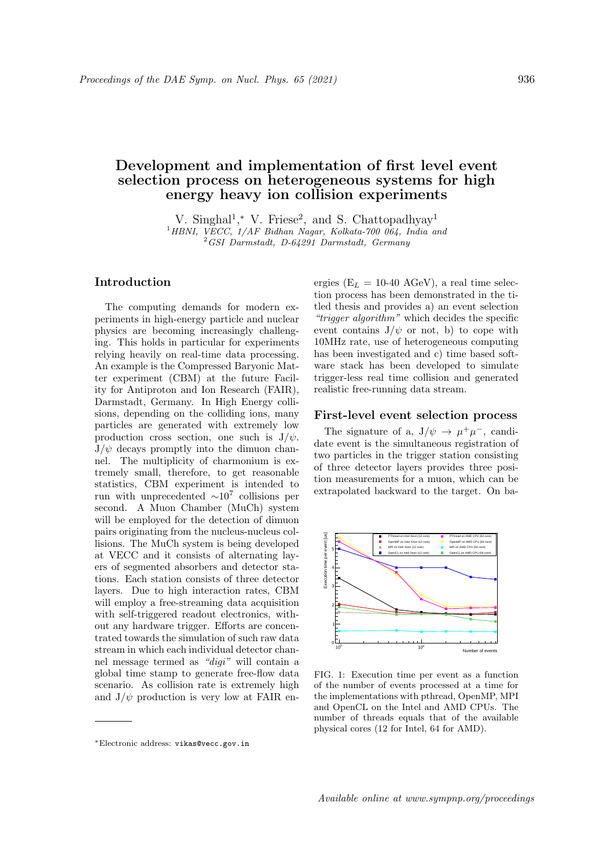# Development and implementation of first level event selection process on heterogeneous systems for high energy heavy ion collision experiments

V. Singhal<sup>1</sup>,\* V. Friese<sup>2</sup>, and S. Chattopadhyay<sup>1</sup> <sup>1</sup>HBNI, VECC, 1/AF Bidhan Nagar, Kolkata-700 064, India and <sup>2</sup>GSI Darmstadt, D-64291 Darmstadt, Germany

## Introduction

The computing demands for modern experiments in high-energy particle and nuclear physics are becoming increasingly challenging. This holds in particular for experiments relying heavily on real-time data processing. An example is the Compressed Baryonic Matter experiment (CBM) at the future Facility for Antiproton and Ion Research (FAIR), Darmstadt, Germany. In High Energy collisions, depending on the colliding ions, many particles are generated with extremely low production cross section, one such is  $J/\psi$ .  $J/\psi$  decays promptly into the dimuon channel. The multiplicity of charmonium is extremely small, therefore, to get reasonable statistics, CBM experiment is intended to run with unprecedented  $\sim 10^7$  collisions per second. A Muon Chamber (MuCh) system will be employed for the detection of dimuon pairs originating from the nucleus-nucleus collisions. The MuCh system is being developed at VECC and it consists of alternating layers of segmented absorbers and detector stations. Each station consists of three detector layers. Due to high interaction rates, CBM will employ a free-streaming data acquisition with self-triggered readout electronics, without any hardware trigger. Efforts are concentrated towards the simulation of such raw data stream in which each individual detector channel message termed as "digi" will contain a global time stamp to generate free-flow data scenario. As collision rate is extremely high and  $J/\psi$  production is very low at FAIR energies ( $E_L = 10-40$  AGeV), a real time selection process has been demonstrated in the titled thesis and provides a) an event selection "trigger algorithm" which decides the specific event contains  $J/\psi$  or not, b) to cope with 10MHz rate, use of heterogeneous computing has been investigated and c) time based software stack has been developed to simulate trigger-less real time collision and generated realistic free-running data stream.

#### First-level event selection process

The signature of a,  $J/\psi \rightarrow \mu^+\mu^-$ , candidate event is the simultaneous registration of two particles in the trigger station consisting of three detector layers provides three position measurements for a muon, which can be extrapolated backward to the target. On ba-



FIG. 1: Execution time per event as a function of the number of events processed at a time for the implementations with pthread, OpenMP, MPI and OpenCL on the Intel and AMD CPUs. The number of threads equals that of the available physical cores (12 for Intel, 64 for AMD).

<sup>∗</sup>Electronic address: vikas@vecc.gov.in